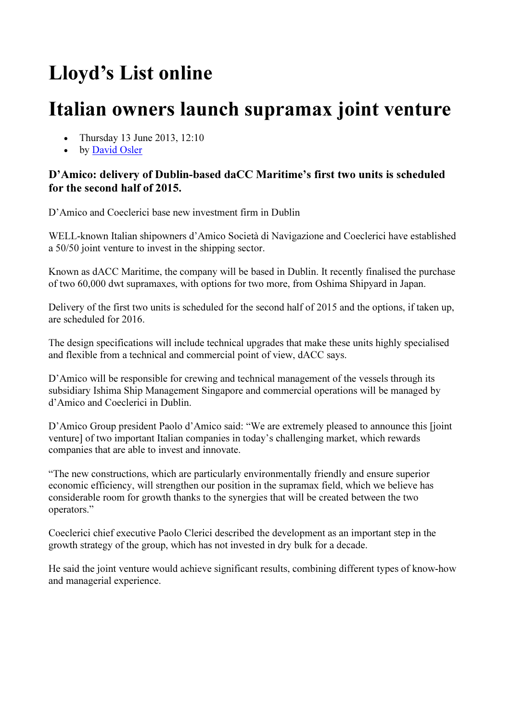# Lloyd's List online

# Italian owners launch supramax joint venture

- Thursday 13 June 2013, 12:10
- by David Osler

### D'Amico: delivery of Dublin-based daCC Maritime's first two units is scheduled for the second half of 2015.

D'Amico and Coeclerici base new investment firm in Dublin

WELL-known Italian shipowners d'Amico Società di Navigazione and Coeclerici have established a 50/50 joint venture to invest in the shipping sector.

Known as dACC Maritime, the company will be based in Dublin. It recently finalised the purchase of two 60,000 dwt supramaxes, with options for two more, from Oshima Shipyard in Japan.

Delivery of the first two units is scheduled for the second half of 2015 and the options, if taken up, are scheduled for 2016.

The design specifications will include technical upgrades that make these units highly specialised and flexible from a technical and commercial point of view, dACC says.

D'Amico will be responsible for crewing and technical management of the vessels through its subsidiary Ishima Ship Management Singapore and commercial operations will be managed by d'Amico and Coeclerici in Dublin.

D'Amico Group president Paolo d'Amico said: "We are extremely pleased to announce this [joint venture] of two important Italian companies in today's challenging market, which rewards companies that are able to invest and innovate.

"The new constructions, which are particularly environmentally friendly and ensure superior economic efficiency, will strengthen our position in the supramax field, which we believe has considerable room for growth thanks to the synergies that will be created between the two operators."

Coeclerici chief executive Paolo Clerici described the development as an important step in the growth strategy of the group, which has not invested in dry bulk for a decade.

He said the joint venture would achieve significant results, combining different types of know-how and managerial experience.